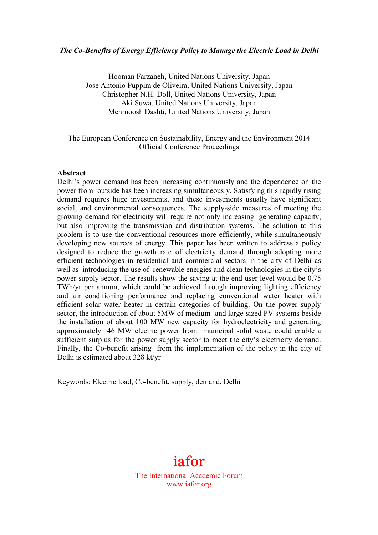## *The Co-Benefits of Energy Efficiency Policy to Manage the Electric Load in Delhi*

Hooman Farzaneh, United Nations University, Japan Jose Antonio Puppim de Oliveira, United Nations University, Japan Christopher N.H. Doll, United Nations University, Japan Aki Suwa, United Nations University, Japan Mehrnoosh Dashti, United Nations University, Japan

## The European Conference on Sustainability, Energy and the Environment 2014 Official Conference Proceedings

#### **Abstract**

Delhi's power demand has been increasing continuously and the dependence on the power from outside has been increasing simultaneously. Satisfying this rapidly rising demand requires huge investments, and these investments usually have significant social, and environmental consequences. The supply-side measures of meeting the growing demand for electricity will require not only increasing generating capacity, but also improving the transmission and distribution systems. The solution to this problem is to use the conventional resources more efficiently, while simultaneously developing new sources of energy. This paper has been written to address a policy designed to reduce the growth rate of electricity demand through adopting more efficient technologies in residential and commercial sectors in the city of Delhi as well as introducing the use of renewable energies and clean technologies in the city's power supply sector. The results show the saving at the end-user level would be 0.75 TWh/yr per annum, which could be achieved through improving lighting efficiency and air conditioning performance and replacing conventional water heater with efficient solar water heater in certain categories of building. On the power supply sector, the introduction of about 5MW of medium- and large-sized PV systems beside the installation of about 100 MW new capacity for hydroelectricity and generating approximately 46 MW electric power from municipal solid waste could enable a sufficient surplus for the power supply sector to meet the city's electricity demand. Finally, the Co-benefit arising from the implementation of the policy in the city of Delhi is estimated about 328 kt/yr

Keywords: Electric load, Co-benefit, supply, demand, Delhi

# iafor

The International Academic Forum www.iafor.org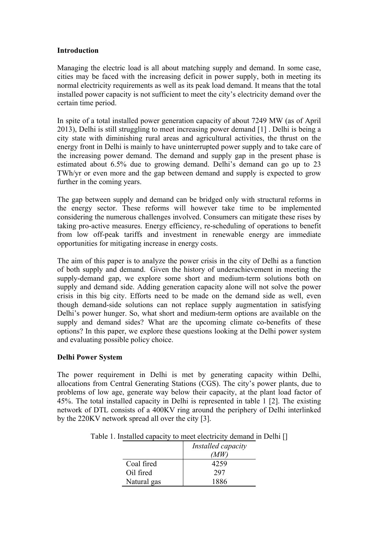## **Introduction**

Managing the electric load is all about matching supply and demand. In some case, cities may be faced with the increasing deficit in power supply, both in meeting its normal electricity requirements as well as its peak load demand. It means that the total installed power capacity is not sufficient to meet the city's electricity demand over the certain time period.

In spite of a total installed power generation capacity of about 7249 MW (as of April 2013), Delhi is still struggling to meet increasing power demand [1] . Delhi is being a city state with diminishing rural areas and agricultural activities, the thrust on the energy front in Delhi is mainly to have uninterrupted power supply and to take care of the increasing power demand. The demand and supply gap in the present phase is estimated about 6.5% due to growing demand. Delhi's demand can go up to 23 TWh/yr or even more and the gap between demand and supply is expected to grow further in the coming years.

The gap between supply and demand can be bridged only with structural reforms in the energy sector. These reforms will however take time to be implemented considering the numerous challenges involved. Consumers can mitigate these rises by taking pro-active measures. Energy efficiency, re-scheduling of operations to benefit from low off-peak tariffs and investment in renewable energy are immediate opportunities for mitigating increase in energy costs.

The aim of this paper is to analyze the power crisis in the city of Delhi as a function of both supply and demand. Given the history of underachievement in meeting the supply-demand gap, we explore some short and medium-term solutions both on supply and demand side. Adding generation capacity alone will not solve the power crisis in this big city. Efforts need to be made on the demand side as well, even though demand-side solutions can not replace supply augmentation in satisfying Delhi's power hunger. So, what short and medium-term options are available on the supply and demand sides? What are the upcoming climate co-benefits of these options? In this paper, we explore these questions looking at the Delhi power system and evaluating possible policy choice.

# **Delhi Power System**

The power requirement in Delhi is met by generating capacity within Delhi, allocations from Central Generating Stations (CGS). The city's power plants, due to problems of low age, generate way below their capacity, at the plant load factor of 45%. The total installed capacity in Delhi is represented in table 1 [2]. The existing network of DTL consists of a 400KV ring around the periphery of Delhi interlinked by the 220KV network spread all over the city [3].

|             | Installed capacity |  |
|-------------|--------------------|--|
|             | MW                 |  |
| Coal fired  | 4259               |  |
| Oil fired   | 297                |  |
| Natural gas | 1886               |  |

Table 1. Installed capacity to meet electricity demand in Delhi []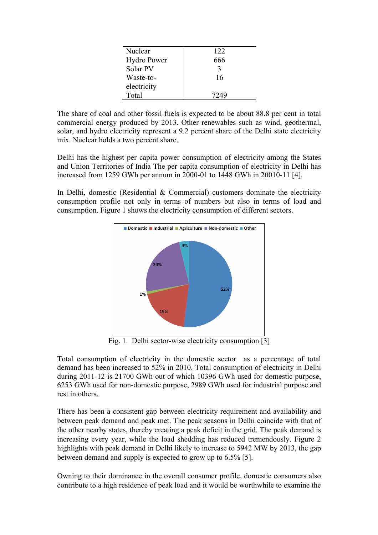| Nuclear            | 122  |
|--------------------|------|
| <b>Hydro Power</b> | 666  |
| Solar PV           | 3    |
| Waste-to-          | 16   |
| electricity        |      |
| Total              | 7249 |

The share of coal and other fossil fuels is expected to be about 88.8 per cent in total commercial energy produced by 2013. Other renewables such as wind, geothermal, solar, and hydro electricity represent a 9.2 percent share of the Delhi state electricity mix. Nuclear holds a two percent share.

Delhi has the highest per capita power consumption of electricity among the States and Union Territories of India The per capita consumption of electricity in Delhi has increased from 1259 GWh per annum in 2000-01 to 1448 GWh in 20010-11 [4].

In Delhi, domestic (Residential & Commercial) customers dominate the electricity consumption profile not only in terms of numbers but also in terms of load and consumption. Figure 1 shows the electricity consumption of different sectors.



Fig. 1. Delhi sector-wise electricity consumption [3]

Total consumption of electricity in the domestic sector as a percentage of total demand has been increased to 52% in 2010. Total consumption of electricity in Delhi during 2011-12 is 21700 GWh out of which 10396 GWh used for domestic purpose, 6253 GWh used for non-domestic purpose, 2989 GWh used for industrial purpose and rest in others.

There has been a consistent gap between electricity requirement and availability and between peak demand and peak met. The peak seasons in Delhi coincide with that of the other nearby states, thereby creating a peak deficit in the grid. The peak demand is increasing every year, while the load shedding has reduced tremendously. Figure 2 highlights with peak demand in Delhi likely to increase to 5942 MW by 2013, the gap between demand and supply is expected to grow up to 6.5% [5].

Owning to their dominance in the overall consumer profile, domestic consumers also contribute to a high residence of peak load and it would be worthwhile to examine the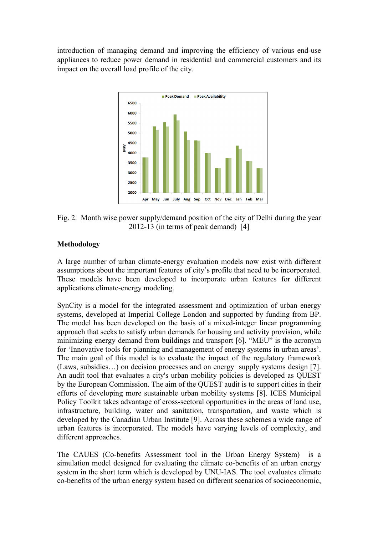introduction of managing demand and improving the efficiency of various end-use appliances to reduce power demand in residential and commercial customers and its impact on the overall load profile of the city.



Fig. 2. Month wise power supply/demand position of the city of Delhi during the year 2012-13 (in terms of peak demand) [4]

# **Methodology**

A large number of urban climate-energy evaluation models now exist with different assumptions about the important features of city's profile that need to be incorporated. These models have been developed to incorporate urban features for different applications climate-energy modeling.

SynCity is a model for the integrated assessment and optimization of urban energy systems, developed at Imperial College London and supported by funding from BP. The model has been developed on the basis of a mixed-integer linear programming approach that seeks to satisfy urban demands for housing and activity provision, while minimizing energy demand from buildings and transport [6]. "MEU" is the acronym for 'Innovative tools for planning and management of energy systems in urban areas'. The main goal of this model is to evaluate the impact of the regulatory framework (Laws, subsidies…) on decision processes and on energy supply systems design [7]. An audit tool that evaluates a city's urban mobility policies is developed as QUEST by the European Commission. The aim of the QUEST audit is to support cities in their efforts of developing more sustainable urban mobility systems [8]. ICES Municipal Policy Toolkit takes advantage of cross-sectoral opportunities in the areas of land use, infrastructure, building, water and sanitation, transportation, and waste which is developed by the Canadian Urban Institute [9]. Across these schemes a wide range of urban features is incorporated. The models have varying levels of complexity, and different approaches.

The CAUES (Co-benefits Assessment tool in the Urban Energy System) is a simulation model designed for evaluating the climate co-benefits of an urban energy system in the short term which is developed by UNU-IAS. The tool evaluates climate co-benefits of the urban energy system based on different scenarios of socioeconomic,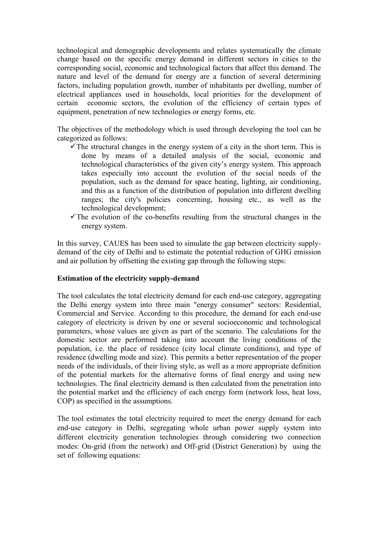technological and demographic developments and relates systematically the climate change based on the specific energy demand in different sectors in cities to the corresponding social, economic and technological factors that affect this demand. The nature and level of the demand for energy are a function of several determining factors, including population growth, number of inhabitants per dwelling, number of electrical appliances used in households, local priorities for the development of certain economic sectors, the evolution of the efficiency of certain types of equipment, penetration of new technologies or energy forms, etc.

The objectives of the methodology which is used through developing the tool can be categorized as follows:

- The structural changes in the energy system of a city in the short term. This is done by means of a detailed analysis of the social, economic and technological characteristics of the given city's energy system. This approach takes especially into account the evolution of the social needs of the population, such as the demand for space heating, lighting, air conditioning, and this as a function of the distribution of population into different dwelling ranges; the city's policies concerning, housing etc., as well as the technological development;
- $\checkmark$  The evolution of the co-benefits resulting from the structural changes in the energy system.

In this survey, CAUES has been used to simulate the gap between electricity supplydemand of the city of Delhi and to estimate the potential reduction of GHG emission and air pollution by offsetting the existing gap through the following steps:

## **Estimation of the electricity supply-demand**

The tool calculates the total electricity demand for each end-use category, aggregating the Delhi energy system into three main "energy consumer" sectors: Residential, Commercial and Service. According to this procedure, the demand for each end-use category of electricity is driven by one or several socioeconomic and technological parameters, whose values are given as part of the scenario. The calculations for the domestic sector are performed taking into account the living conditions of the population, i.e. the place of residence (city local climate conditions), and type of residence (dwelling mode and size). This permits a better representation of the proper needs of the individuals, of their living style, as well as a more appropriate definition of the potential markets for the alternative forms of final energy and using new technologies. The final electricity demand is then calculated from the penetration into the potential market and the efficiency of each energy form (network loss, heat loss, COP) as specified in the assumptions.

The tool estimates the total electricity required to meet the energy demand for each end-use category in Delhi, segregating whole urban power supply system into different electricity generation technologies through considering two connection modes: On-grid (from the network) and Off-grid (District Generation) by using the set of following equations: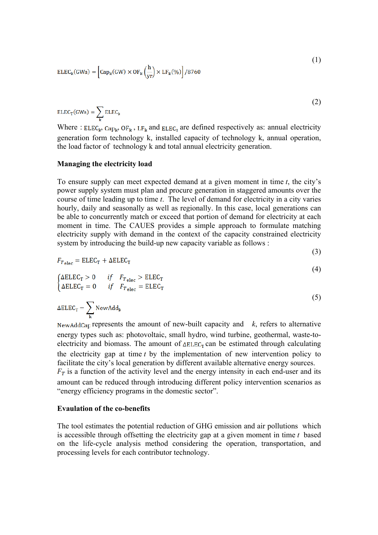$$
ELEC_{k}(GWa) = \left[ Cap_{k}(GW) \times OF_{k}\left(\frac{h}{vr}\right) \times LF_{k}(\%) \right] / 8760
$$
 (1)

$$
ELECT(GWa) = \sum_{k} ELEC_{k}
$$
 (2)

Where :  $ELEC_k$ ,  $Cap_k$ ,  $OF_k$ ,  $LF_k$  and  $ELEC_T$  are defined respectively as: annual electricity generation form technology k, installed capacity of technology k, annual operation, the load factor of technology k and total annual electricity generation.

#### **Managing the electricity load**

To ensure supply can meet expected demand at a given moment in time *t*, the city's power supply system must plan and procure generation in staggered amounts over the course of time leading up to time *t*. The level of demand for electricity in a city varies hourly, daily and seasonally as well as regionally. In this case, local generations can be able to concurrently match or exceed that portion of demand for electricity at each moment in time. The CAUES provides a simple approach to formulate matching electricity supply with demand in the context of the capacity constrained electricity system by introducing the build-up new capacity variable as follows :

$$
F_{T \text{elec}} = \text{ELEC}_{T} + \Delta \text{ELEC}_{T}
$$

(3)

$$
(\Delta \text{ELEC}_{\text{T}} > 0 \quad \text{if} \quad F_{\text{Talec}} > \text{ELEC}_{\text{T}} \tag{4}
$$

$$
\begin{cases} \Delta \text{ELLC}_{\text{T}} = 0 & \text{if} \quad F_{\text{T}}_{\text{elec}} = \text{ELLC}_{\text{T}} \end{cases}
$$
 (5)

$$
\Delta E L E C_T = \sum_{k} \text{NewAdd}_{k}
$$

NewAddCap represents the amount of new-built capacity and  $k$ , refers to alternative energy types such as: photovoltaic, small hydro, wind turbine, geothermal, waste-toelectricity and biomass. The amount of  $\Delta ELEC_T$  can be estimated through calculating the electricity gap at time *t* by the implementation of new intervention policy to facilitate the city's local generation by different available alternative energy sources.  $F<sub>T</sub>$  is a function of the activity level and the energy intensity in each end-user and its

amount can be reduced through introducing different policy intervention scenarios as "energy efficiency programs in the domestic sector".

#### **Evaulation of the co-benefits**

The tool estimates the potential reduction of GHG emission and air pollutions which is accessible through offsetting the electricity gap at a given moment in time *t* based on the life-cycle analysis method considering the operation, transportation, and processing levels for each contributor technology.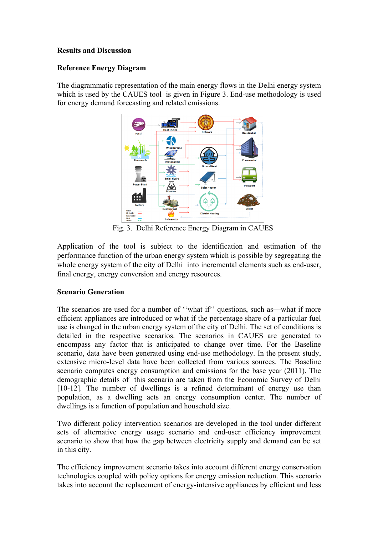## **Results and Discussion**

## **Reference Energy Diagram**

The diagrammatic representation of the main energy flows in the Delhi energy system which is used by the CAUES tool is given in Figure 3. End-use methodology is used for energy demand forecasting and related emissions.



Fig. 3. Delhi Reference Energy Diagram in CAUES

Application of the tool is subject to the identification and estimation of the performance function of the urban energy system which is possible by segregating the whole energy system of the city of Delhi into incremental elements such as end-user, final energy, energy conversion and energy resources.

# **Scenario Generation**

The scenarios are used for a number of "what if" questions, such as—what if more efficient appliances are introduced or what if the percentage share of a particular fuel use is changed in the urban energy system of the city of Delhi. The set of conditions is detailed in the respective scenarios. The scenarios in CAUES are generated to encompass any factor that is anticipated to change over time. For the Baseline scenario, data have been generated using end-use methodology. In the present study, extensive micro-level data have been collected from various sources. The Baseline scenario computes energy consumption and emissions for the base year (2011). The demographic details of this scenario are taken from the Economic Survey of Delhi [10-12]. The number of dwellings is a refined determinant of energy use than population, as a dwelling acts an energy consumption center. The number of dwellings is a function of population and household size.

Two different policy intervention scenarios are developed in the tool under different sets of alternative energy usage scenario and end-user efficiency improvement scenario to show that how the gap between electricity supply and demand can be set in this city.

The efficiency improvement scenario takes into account different energy conservation technologies coupled with policy options for energy emission reduction. This scenario takes into account the replacement of energy-intensive appliances by efficient and less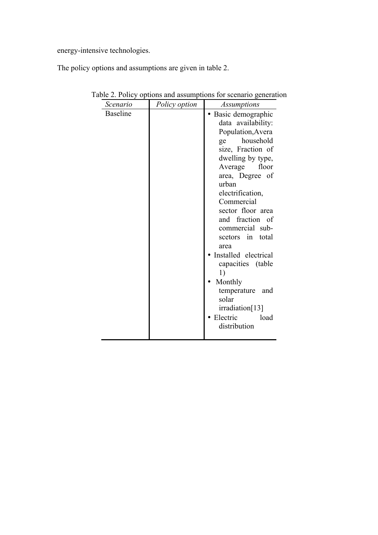energy-intensive technologies.

The policy options and assumptions are given in table 2.

| Scenario        | Policy option | <i>Assumptions</i>                                                                                                                                                                                                                                                                                                                                                                                                                                     |
|-----------------|---------------|--------------------------------------------------------------------------------------------------------------------------------------------------------------------------------------------------------------------------------------------------------------------------------------------------------------------------------------------------------------------------------------------------------------------------------------------------------|
| <b>Baseline</b> |               | Basic demographic<br>data availability:<br>Population, Avera<br>household<br>ge<br>size, Fraction of<br>dwelling by type,<br>Average floor<br>area, Degree of<br>urban<br>electrification,<br>Commercial<br>sector floor area<br>and fraction of<br>commercial sub-<br>total<br>scetors in<br>area<br>Installed electrical<br>capacities (table<br>1)<br>Monthly<br>temperature<br>and<br>solar<br>irradiation[13]<br>Electric<br>load<br>distribution |
|                 |               |                                                                                                                                                                                                                                                                                                                                                                                                                                                        |

Table 2. Policy options and assumptions for scenario generation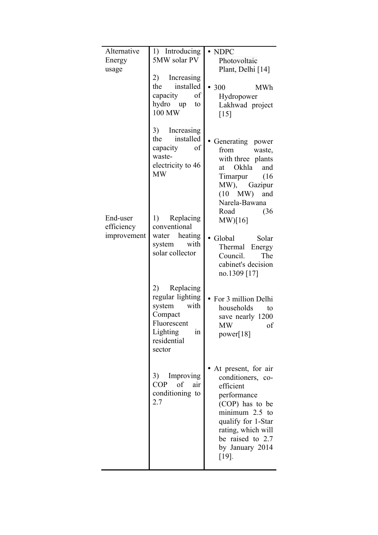| Alternative<br>Energy<br>usage        | 1) Introducing<br>5MW solar PV<br>2)<br>Increasing<br>installed<br>the<br>capacity<br>of<br>hydro up<br>to<br>100 MW    | $\bullet$ NDPC<br>Photovoltaic<br>Plant, Delhi [14]<br>• 300<br><b>MWh</b><br>Hydropower<br>Lakhwad project<br>$\lceil 15 \rceil$                                                                          |
|---------------------------------------|-------------------------------------------------------------------------------------------------------------------------|------------------------------------------------------------------------------------------------------------------------------------------------------------------------------------------------------------|
|                                       | 3)<br>Increasing<br>the installed<br>of<br>capacity<br>waste-<br>electricity to 46<br><b>MW</b>                         | Generating power<br>from<br>waste,<br>with three plants<br>Okhla<br>and<br>at<br>Timarpur (16<br>MW), Gazipur<br>$(10$ MW) and<br>Narela-Bawana<br>Road<br>(36)                                            |
| End-user<br>efficiency<br>improvement | 1) Replacing<br>conventional<br>water heating<br>with<br>system<br>solar collector                                      | MW)[16]<br>• Global<br>Solar<br>Thermal<br>Energy<br>Council.<br>The<br>cabinet's decision<br>no.1309 [17]                                                                                                 |
|                                       | 2) Replacing<br>regular lighting<br>system<br>with<br>Compact<br>Fluorescent<br>Lighting<br>ın<br>residential<br>sector | • For 3 million Delhi<br>households<br>to<br>save nearly 1200<br><b>MW</b><br>of<br>power[ $18$ ]                                                                                                          |
|                                       | 3)<br>Improving<br><b>COP</b><br>of<br>air<br>conditioning to<br>2.7                                                    | At present, for air<br>conditioners, co-<br>efficient<br>performance<br>(COP) has to be<br>minimum $2.5$ to<br>qualify for 1-Star<br>rating, which will<br>be raised to 2.7<br>by January 2014<br>$[19]$ . |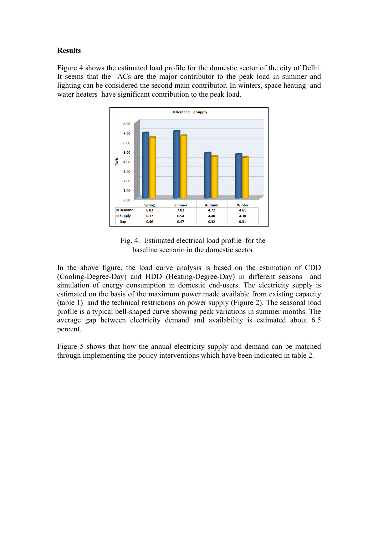# **Results**

Figure 4 shows the estimated load profile for the domestic sector of the city of Delhi. It seems that the ACs are the major contributor to the peak load in summer and lighting can be considered the second main contributor. In winters, space heating and water heaters have significant contribution to the peak load.



Fig. 4. Estimated electrical load profile for the baseline scenario in the domestic sector

In the above figure, the load curve analysis is based on the estimation of CDD (Cooling-Degree-Day) and HDD (Heating-Degree-Day) in different seasons and simulation of energy consumption in domestic end-users. The electricity supply is estimated on the basis of the maximum power made available from existing capacity (table 1) and the technical restrictions on power supply (Figure 2). The seasonal load profile is a typical bell-shaped curve showing peak variations in summer months. The average gap between electricity demand and availability is estimated about 6.5 percent.

Figure 5 shows that how the annual electricity supply and demand can be matched through implementing the policy interventions which have been indicated in table 2.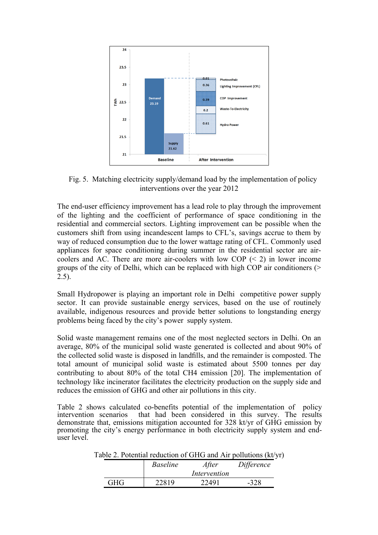

Fig. 5. Matching electricity supply/demand load by the implementation of policy interventions over the year 2012

The end-user efficiency improvement has a lead role to play through the improvement of the lighting and the coefficient of performance of space conditioning in the residential and commercial sectors. Lighting improvement can be possible when the customers shift from using incandescent lamps to CFL's, savings accrue to them by way of reduced consumption due to the lower wattage rating of CFL. Commonly used appliances for space conditioning during summer in the residential sector are aircoolers and AC. There are more air-coolers with low COP  $(< 2)$  in lower income groups of the city of Delhi, which can be replaced with high COP air conditioners (> 2.5).

Small Hydropower is playing an important role in Delhi competitive power supply sector. It can provide sustainable energy services, based on the use of routinely available, indigenous resources and provide better solutions to longstanding energy problems being faced by the city's power supply system.

Solid waste management remains one of the most neglected sectors in Delhi. On an average, 80% of the municipal solid waste generated is collected and about 90% of the collected solid waste is disposed in landfills, and the remainder is composted. The total amount of municipal solid waste is estimated about 5500 tonnes per day contributing to about 80% of the total CH4 emission [20]. The implementation of technology like incinerator facilitates the electricity production on the supply side and reduces the emission of GHG and other air pollutions in this city.

Table 2 shows calculated co-benefits potential of the implementation of policy intervention scenarios that had been considered in this survey. The results demonstrate that, emissions mitigation accounted for 328 kt/yr of GHG emission by promoting the city's energy performance in both electricity supply system and enduser level.

Table 2. Potential reduction of GHG and Air pollutions (kt/yr)

|      | <i>Baseline</i> | After<br>Intervention | Difference |
|------|-----------------|-----------------------|------------|
| GHG- | 22819           | 22491                 | -328       |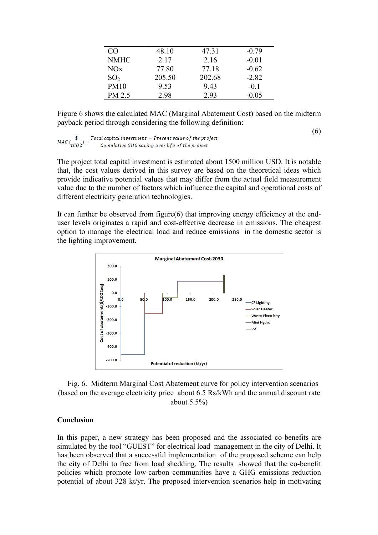| CO              | 48.10  | 47.31  | $-0.79$ |
|-----------------|--------|--------|---------|
| <b>NMHC</b>     | 2.17   | 2.16   | $-0.01$ |
| NOx             | 77.80  | 77.18  | $-0.62$ |
| SO <sub>2</sub> | 205.50 | 202.68 | $-2.82$ |
| <b>PM10</b>     | 9.53   | 9.43   | $-01$   |
| PM 2.5          | 2.98   | 2.93   | $-0.05$ |

Figure 6 shows the calculated MAC (Marginal Abatement Cost) based on the midterm payback period through considering the following definition:

 $\frac{Total\ capital\ investment\ -\ Present\ value\ of\ the\ project}{Countative\ GHG\ saving\ over\ life\ of\ the\ project}$  $MAC\left(\frac{\$}{tCO2}\right) =$ 

The project total capital investment is estimated about 1500 million USD. It is notable that, the cost values derived in this survey are based on the theoretical ideas which provide indicative potential values that may differ from the actual field measurement value due to the number of factors which influence the capital and operational costs of different electricity generation technologies.

It can further be observed from figure(6) that improving energy efficiency at the enduser levels originates a rapid and cost-effective decrease in emissions. The cheapest option to manage the electrical load and reduce emissions in the domestic sector is the lighting improvement.



Fig. 6. Midterm Marginal Cost Abatement curve for policy intervention scenarios (based on the average electricity price about 6.5 Rs/kWh and the annual discount rate about 5.5%)

#### **Conclusion**

In this paper, a new strategy has been proposed and the associated co-benefits are simulated by the tool "GUEST" for electrical load management in the city of Delhi. It has been observed that a successful implementation of the proposed scheme can help the city of Delhi to free from load shedding. The results showed that the co-benefit policies which promote low-carbon communities have a GHG emissions reduction potential of about 328 kt/yr. The proposed intervention scenarios help in motivating

(6)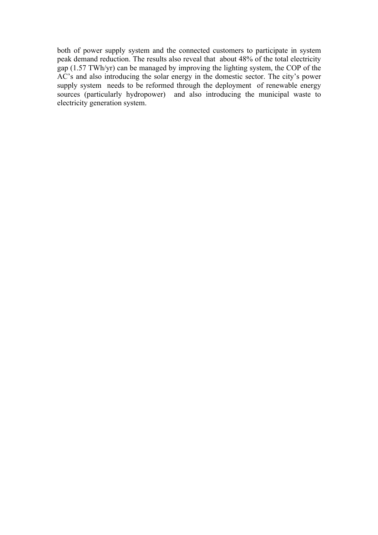both of power supply system and the connected customers to participate in system peak demand reduction. The results also reveal that about 48% of the total electricity gap (1.57 TWh/yr) can be managed by improving the lighting system, the COP of the AC's and also introducing the solar energy in the domestic sector. The city's power supply system needs to be reformed through the deployment of renewable energy sources (particularly hydropower) and also introducing the municipal waste to electricity generation system.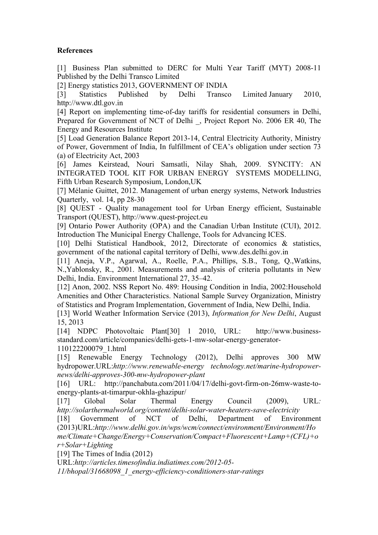# **References**

[1] Business Plan submitted to DERC for Multi Year Tariff (MYT) 2008-11 Published by the Delhi Transco Limited

[2] Energy statistics 2013, GOVERNMENT OF INDIA

[3] Statistics Published by Delhi Transco Limited January 2010, http://www.dtl.gov.in

[4] Report on implementing time-of-day tariffs for residential consumers in Delhi, Prepared for Government of NCT of Delhi \_, Project Report No. 2006 ER 40, The Energy and Resources Institute

[5] Load Generation Balance Report 2013-14, Central Electricity Authority, Ministry of Power, Government of India, In fulfillment of CEA's obligation under section 73 (a) of Electricity Act, 2003

[6] James Keirstead, Nouri Samsatli, Nilay Shah, 2009. SYNCITY: AN INTEGRATED TOOL KIT FOR URBAN ENERGY SYSTEMS MODELLING, Fifth Urban Research Symposium, London,UK

[7] Mélanie Guittet, 2012. Management of urban energy systems, Network Industries Quarterly, vol. 14, pp 28-30

[8] QUEST - Quality management tool for Urban Energy efficient, Sustainable Transport (QUEST), http://www.quest-project.eu

[9] Ontario Power Authority (OPA) and the Canadian Urban Institute (CUI), 2012. Introduction The Municipal Energy Challenge, Tools for Advancing ICES.

[10] Delhi Statistical Handbook, 2012, Directorate of economics & statistics, government of the national capital territory of Delhi, www.des.delhi.gov.in

[11] Aneja, V.P., Agarwal, A., Roelle, P.A., Phillips, S.B., Tong, Q.,Watkins, N.,Yablonsky, R., 2001. Measurements and analysis of criteria pollutants in New Delhi, India. Environment International 27, 35–42.

[12] Anon, 2002. NSS Report No. 489: Housing Condition in India, 2002:Household Amenities and Other Characteristics. National Sample Survey Organization, Ministry of Statistics and Program Implementation, Government of India, New Delhi, India.

[13] World Weather Information Service (2013), *Information for New Delhi*, August 15, 2013

[14] NDPC Photovoltaic Plant[30] 1 2010, URL: http://www.businessstandard.com/article/companies/delhi-gets-1-mw-solar-energy-generator-110122200079\_1.html

[15] Renewable Energy Technology (2012), Delhi approves 300 MW hydropower.URL:*http://www.renewable-energy technology.net/marine-hydropowernews/delhi-approves-300-mw-hydropower-plant*

[16] URL: http://panchabuta.com/2011/04/17/delhi-govt-firm-on-26mw-waste-toenergy-plants-at-timarpur-okhla-ghazipur/

[17] Global Solar Thermal Energy Council (2009), URL*: http://solarthermalworld.org/content/delhi-solar-water-heaters-save-electricity*

[18] Government of NCT of Delhi, Department of Environment (2013)URL:*http://www.delhi.gov.in/wps/wcm/connect/environment/Environment/Ho*

*me/Climate+Change/Energy+Conservation/Compact+Fluorescent+Lamp+(CFL)+o r+Solar+Lighting*

[19] The Times of India (2012)

URL:*http://articles.timesofindia.indiatimes.com/2012-05-*

*11/bhopal/31668098\_1\_energy-efficiency-conditioners-star-ratings*